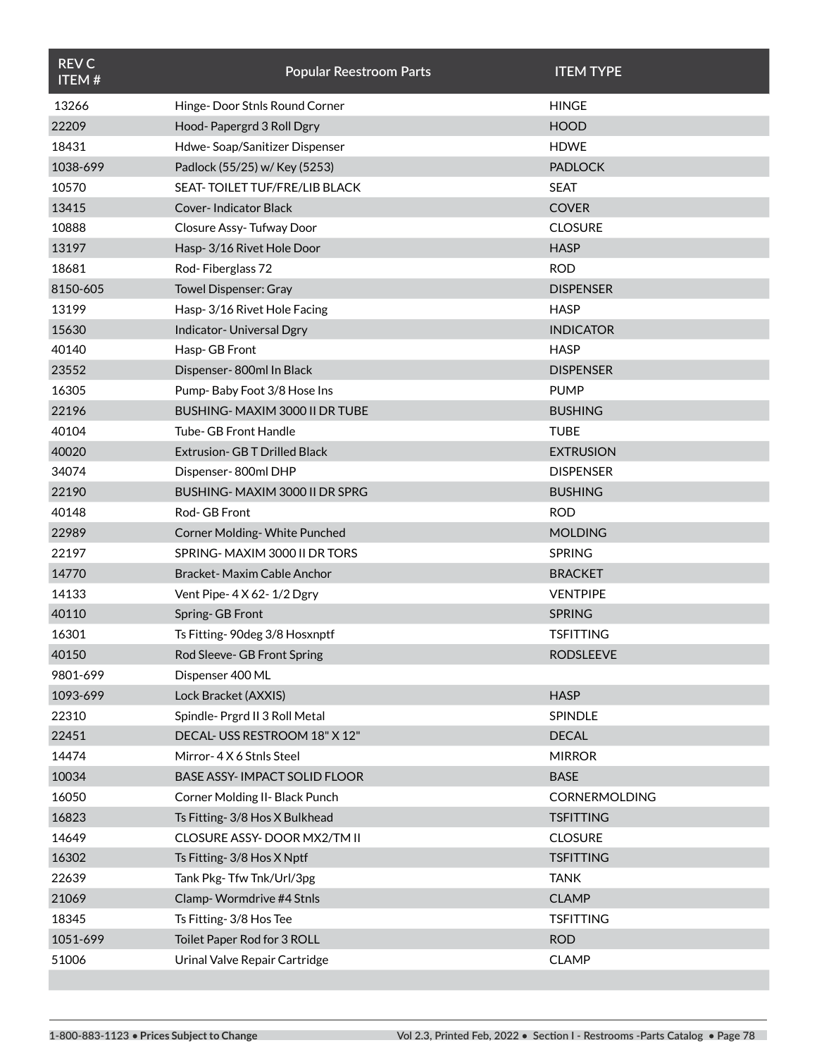| <b>REV C</b><br><b>ITEM#</b> | <b>Popular Reestroom Parts</b>       | <b>ITEM TYPE</b>     |
|------------------------------|--------------------------------------|----------------------|
| 13266                        | Hinge-Door Stnls Round Corner        | <b>HINGE</b>         |
| 22209                        | Hood-Papergrd 3 Roll Dgry            | <b>HOOD</b>          |
| 18431                        | Hdwe-Soap/Sanitizer Dispenser        | <b>HDWE</b>          |
| 1038-699                     | Padlock (55/25) w/ Key (5253)        | <b>PADLOCK</b>       |
| 10570                        | SEAT-TOILET TUF/FRE/LIB BLACK        | <b>SEAT</b>          |
| 13415                        | Cover- Indicator Black               | <b>COVER</b>         |
| 10888                        | Closure Assy-Tufway Door             | <b>CLOSURE</b>       |
| 13197                        | Hasp-3/16 Rivet Hole Door            | <b>HASP</b>          |
| 18681                        | Rod-Fiberglass 72                    | <b>ROD</b>           |
| 8150-605                     | Towel Dispenser: Gray                | <b>DISPENSER</b>     |
| 13199                        | Hasp-3/16 Rivet Hole Facing          | <b>HASP</b>          |
| 15630                        | Indicator-Universal Dgry             | <b>INDICATOR</b>     |
| 40140                        | Hasp-GB Front                        | <b>HASP</b>          |
| 23552                        | Dispenser-800ml In Black             | <b>DISPENSER</b>     |
| 16305                        | Pump-Baby Foot 3/8 Hose Ins          | <b>PUMP</b>          |
| 22196                        | BUSHING-MAXIM 3000 II DR TUBE        | <b>BUSHING</b>       |
| 40104                        | <b>Tube- GB Front Handle</b>         | <b>TUBE</b>          |
| 40020                        | <b>Extrusion- GB T Drilled Black</b> | <b>EXTRUSION</b>     |
| 34074                        | Dispenser-800ml DHP                  | <b>DISPENSER</b>     |
| 22190                        | BUSHING-MAXIM 3000 II DR SPRG        | <b>BUSHING</b>       |
| 40148                        | Rod- GB Front                        | <b>ROD</b>           |
| 22989                        | Corner Molding-White Punched         | <b>MOLDING</b>       |
| 22197                        | SPRING-MAXIM 3000 II DR TORS         | <b>SPRING</b>        |
| 14770                        | Bracket-Maxim Cable Anchor           | <b>BRACKET</b>       |
| 14133                        | Vent Pipe- 4 X 62-1/2 Dgry           | <b>VENTPIPE</b>      |
| 40110                        | Spring-GB Front                      | <b>SPRING</b>        |
| 16301                        | Ts Fitting- 90deg 3/8 Hosxnptf       | <b>TSFITTING</b>     |
| 40150                        | Rod Sleeve- GB Front Spring          | <b>RODSLEEVE</b>     |
| 9801-699                     | Dispenser 400 ML                     |                      |
| 1093-699                     | Lock Bracket (AXXIS)                 | <b>HASP</b>          |
| 22310                        | Spindle- Prgrd II 3 Roll Metal       | <b>SPINDLE</b>       |
| 22451                        | DECAL-USS RESTROOM 18" X 12"         | <b>DECAL</b>         |
| 14474                        | Mirror-4X6 Stnls Steel               | <b>MIRROR</b>        |
| 10034                        | <b>BASE ASSY-IMPACT SOLID FLOOR</b>  | <b>BASE</b>          |
| 16050                        | Corner Molding II- Black Punch       | <b>CORNERMOLDING</b> |
| 16823                        | Ts Fitting- 3/8 Hos X Bulkhead       | <b>TSFITTING</b>     |
| 14649                        | CLOSURE ASSY-DOOR MX2/TM II          | <b>CLOSURE</b>       |
| 16302                        | Ts Fitting- 3/8 Hos X Nptf           | <b>TSFITTING</b>     |
| 22639                        | Tank Pkg-Tfw Tnk/Url/3pg             | <b>TANK</b>          |
| 21069                        | Clamp-Wormdrive #4 Stnls             | <b>CLAMP</b>         |
| 18345                        | Ts Fitting- 3/8 Hos Tee              | <b>TSFITTING</b>     |
| 1051-699                     | Toilet Paper Rod for 3 ROLL          | <b>ROD</b>           |
| 51006                        | Urinal Valve Repair Cartridge        | <b>CLAMP</b>         |